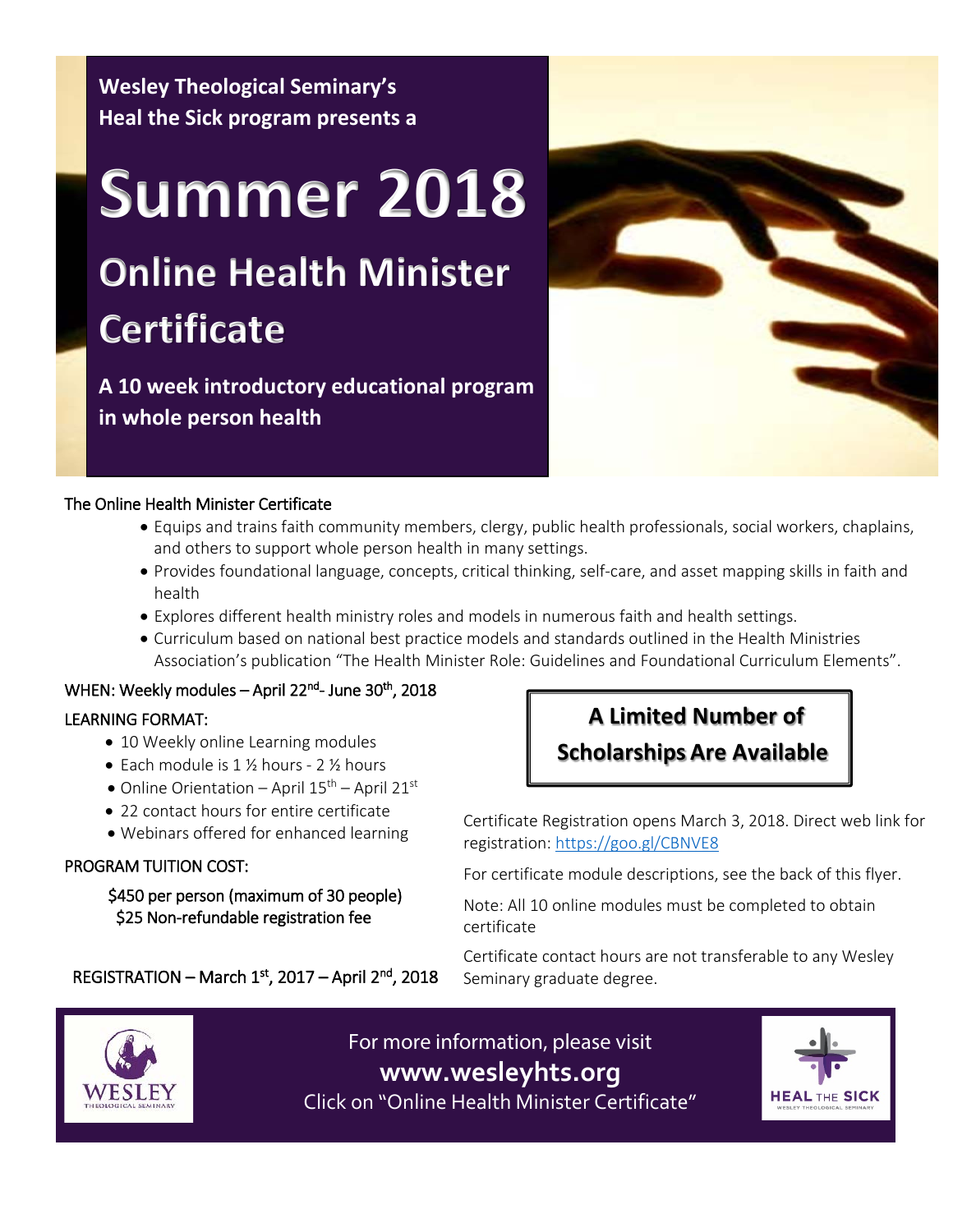**Wesley Theological Seminary's Heal the Sick program presents a**

# **Summer 2018 Online Health Minister Certificate**

**A 10 week introductory educational program in whole person health**



# The Online Health Minister Certificate

- Equips and trains faith community members, clergy, public health professionals, social workers, chaplains, and others to support whole person health in many settings.
- Provides foundational language, concepts, critical thinking, self-care, and asset mapping skills in faith and health
- Explores different health ministry roles and models in numerous faith and health settings.
- Curriculum based on national best practice models and standards outlined in the Health Ministries Association's publication "The Health Minister Role: Guidelines and Foundational Curriculum Elements".

### WHEN: Weekly modules – April 22<sup>nd</sup>- June 30<sup>th</sup>, 2018

# LEARNING FORMAT:

- 10 Weekly online Learning modules
- Each module is 1 1/2 hours 2 1/2 hours
- $\bullet$  Online Orientation April  $15^{\text{th}}$  April 21st
- 22 contact hours for entire certificate
- Webinars offered for enhanced learning

# PROGRAM TUITION COST:

 \$450 per person (maximum of 30 people) \$25 Non-refundable registration fee

REGISTRATION – March  $1<sup>st</sup>$ , 2017 – April  $2<sup>nd</sup>$ , 2018

# **A Limited Number of Scholarships Are Available**

Certificate Registration opens March 3, 2018. Direct web link for registration:<https://goo.gl/CBNVE8>

For certificate module descriptions, see the back of this flyer.

Note: All 10 online modules must be completed to obtain certificate

Certificate contact hours are not transferable to any Wesley Seminary graduate degree.



For more information, please visit **www.wesleyhts.org** Click on "Online Health Minister Certificate"